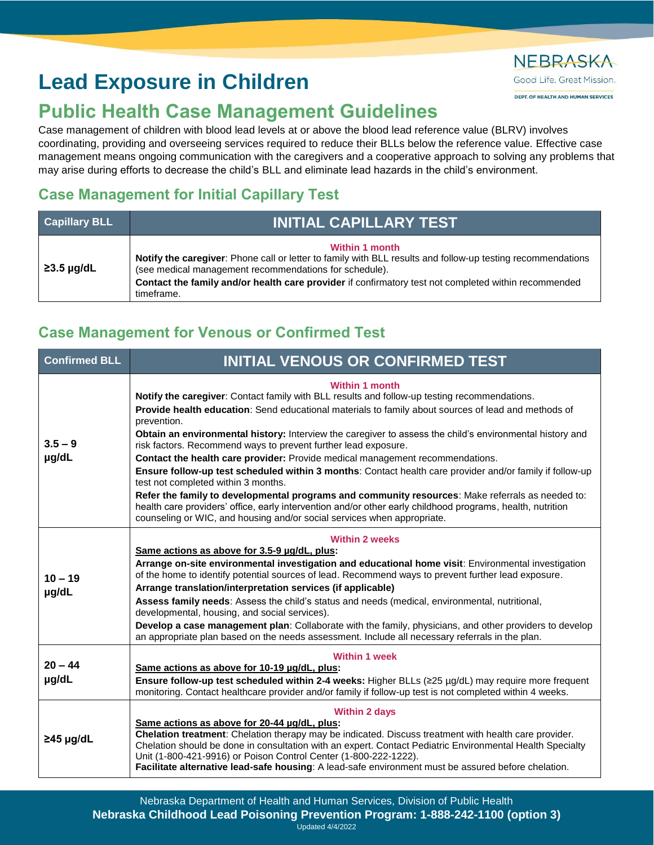# **Lead Exposure in Children**

## **Public Health Case Management Guidelines**

Case management of children with blood lead levels at or above the blood lead reference value (BLRV) involves coordinating, providing and overseeing services required to reduce their BLLs below the reference value. Effective case management means ongoing communication with the caregivers and a cooperative approach to solving any problems that may arise during efforts to decrease the child's BLL and eliminate lead hazards in the child's environment.

### **Case Management for Initial Capillary Test**

| <b>Capillary BLL</b> | <b>INITIAL CAPILLARY TEST</b>                                                                                                                                                                                                                                                                                        |
|----------------------|----------------------------------------------------------------------------------------------------------------------------------------------------------------------------------------------------------------------------------------------------------------------------------------------------------------------|
| $\geq$ 3.5 µg/dL     | <b>Within 1 month</b><br>Notify the caregiver: Phone call or letter to family with BLL results and follow-up testing recommendations<br>(see medical management recommendations for schedule).<br>Contact the family and/or health care provider if confirmatory test not completed within recommended<br>timeframe. |

### **Case Management for Venous or Confirmed Test**

| <b>Confirmed BLL</b> | <b>INITIAL VENOUS OR CONFIRMED TEST</b>                                                                                                                                                                                                                                                                                                                                                                                                                               |
|----------------------|-----------------------------------------------------------------------------------------------------------------------------------------------------------------------------------------------------------------------------------------------------------------------------------------------------------------------------------------------------------------------------------------------------------------------------------------------------------------------|
| $3.5 - 9$<br>µg/dL   | <b>Within 1 month</b><br>Notify the caregiver: Contact family with BLL results and follow-up testing recommendations.<br>Provide health education: Send educational materials to family about sources of lead and methods of<br>prevention.<br>Obtain an environmental history: Interview the caregiver to assess the child's environmental history and<br>risk factors. Recommend ways to prevent further lead exposure.                                             |
|                      | Contact the health care provider: Provide medical management recommendations.                                                                                                                                                                                                                                                                                                                                                                                         |
|                      | Ensure follow-up test scheduled within 3 months: Contact health care provider and/or family if follow-up<br>test not completed within 3 months.                                                                                                                                                                                                                                                                                                                       |
|                      | Refer the family to developmental programs and community resources: Make referrals as needed to:<br>health care providers' office, early intervention and/or other early childhood programs, health, nutrition<br>counseling or WIC, and housing and/or social services when appropriate.                                                                                                                                                                             |
| $10 - 19$<br>µg/dL   | <b>Within 2 weeks</b>                                                                                                                                                                                                                                                                                                                                                                                                                                                 |
|                      | Same actions as above for 3.5-9 µg/dL, plus:<br>Arrange on-site environmental investigation and educational home visit: Environmental investigation<br>of the home to identify potential sources of lead. Recommend ways to prevent further lead exposure.<br>Arrange translation/interpretation services (if applicable)                                                                                                                                             |
|                      | Assess family needs: Assess the child's status and needs (medical, environmental, nutritional,<br>developmental, housing, and social services).                                                                                                                                                                                                                                                                                                                       |
|                      | Develop a case management plan: Collaborate with the family, physicians, and other providers to develop<br>an appropriate plan based on the needs assessment. Include all necessary referrals in the plan.                                                                                                                                                                                                                                                            |
| $20 - 44$            | <b>Within 1 week</b><br>Same actions as above for 10-19 µg/dL, plus:                                                                                                                                                                                                                                                                                                                                                                                                  |
| µg/dL                | Ensure follow-up test scheduled within 2-4 weeks: Higher BLLs (≥25 µg/dL) may require more frequent<br>monitoring. Contact healthcare provider and/or family if follow-up test is not completed within 4 weeks.                                                                                                                                                                                                                                                       |
| $\geq$ 45 µg/dL      | <b>Within 2 days</b><br>Same actions as above for 20-44 µg/dL, plus:<br>Chelation treatment: Chelation therapy may be indicated. Discuss treatment with health care provider.<br>Chelation should be done in consultation with an expert. Contact Pediatric Environmental Health Specialty<br>Unit (1-800-421-9916) or Poison Control Center (1-800-222-1222).<br>Facilitate alternative lead-safe housing: A lead-safe environment must be assured before chelation. |

## NEBRASKA Good Life, Great Mission.

DEPT. OF HEALTH AND HUMAN SERVICES